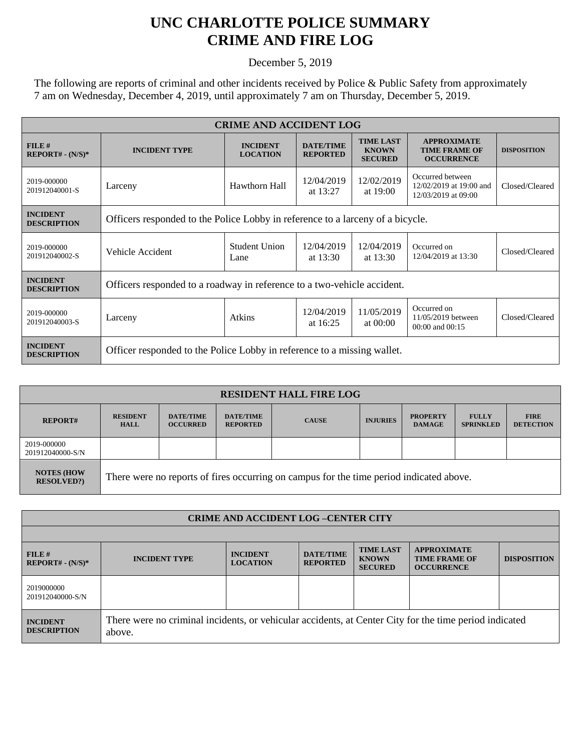## **UNC CHARLOTTE POLICE SUMMARY CRIME AND FIRE LOG**

December 5, 2019

The following are reports of criminal and other incidents received by Police & Public Safety from approximately 7 am on Wednesday, December 4, 2019, until approximately 7 am on Thursday, December 5, 2019.

| <b>CRIME AND ACCIDENT LOG</b>         |                                                                                |                                    |                                     |                                                    |                                                                    |                    |  |
|---------------------------------------|--------------------------------------------------------------------------------|------------------------------------|-------------------------------------|----------------------------------------------------|--------------------------------------------------------------------|--------------------|--|
| FILE#<br>$REPORT# - (N/S)*$           | <b>INCIDENT TYPE</b>                                                           | <b>INCIDENT</b><br><b>LOCATION</b> | <b>DATE/TIME</b><br><b>REPORTED</b> | <b>TIME LAST</b><br><b>KNOWN</b><br><b>SECURED</b> | <b>APPROXIMATE</b><br><b>TIME FRAME OF</b><br><b>OCCURRENCE</b>    | <b>DISPOSITION</b> |  |
| 2019-000000<br>201912040001-S         | Larceny                                                                        | Hawthorn Hall                      | 12/04/2019<br>at $13:27$            | 12/02/2019<br>at $19:00$                           | Occurred between<br>12/02/2019 at 19:00 and<br>12/03/2019 at 09:00 | Closed/Cleared     |  |
| <b>INCIDENT</b><br><b>DESCRIPTION</b> | Officers responded to the Police Lobby in reference to a larceny of a bicycle. |                                    |                                     |                                                    |                                                                    |                    |  |
| 2019-000000<br>201912040002-S         | Vehicle Accident                                                               | Student Union<br>Lane              | 12/04/2019<br>at $13:30$            | 12/04/2019<br>at $13:30$                           | Occurred on<br>12/04/2019 at 13:30                                 | Closed/Cleared     |  |
| <b>INCIDENT</b><br><b>DESCRIPTION</b> | Officers responded to a roadway in reference to a two-vehicle accident.        |                                    |                                     |                                                    |                                                                    |                    |  |
| 2019-000000<br>201912040003-S         | Larceny                                                                        | Atkins                             | 12/04/2019<br>at $16:25$            | 11/05/2019<br>at $00:00$                           | Occurred on<br>11/05/2019 between<br>$00:00$ and $00:15$           | Closed/Cleared     |  |
| <b>INCIDENT</b><br><b>DESCRIPTION</b> | Officer responded to the Police Lobby in reference to a missing wallet.        |                                    |                                     |                                                    |                                                                    |                    |  |

| <b>RESIDENT HALL FIRE LOG</b>         |                                                                                         |                                     |                                     |              |                 |                                  |                                  |                                 |
|---------------------------------------|-----------------------------------------------------------------------------------------|-------------------------------------|-------------------------------------|--------------|-----------------|----------------------------------|----------------------------------|---------------------------------|
| <b>REPORT#</b>                        | <b>RESIDENT</b><br><b>HALL</b>                                                          | <b>DATE/TIME</b><br><b>OCCURRED</b> | <b>DATE/TIME</b><br><b>REPORTED</b> | <b>CAUSE</b> | <b>INJURIES</b> | <b>PROPERTY</b><br><b>DAMAGE</b> | <b>FULLY</b><br><b>SPRINKLED</b> | <b>FIRE</b><br><b>DETECTION</b> |
| 2019-000000<br>201912040000-S/N       |                                                                                         |                                     |                                     |              |                 |                                  |                                  |                                 |
| <b>NOTES (HOW</b><br><b>RESOLVED?</b> | There were no reports of fires occurring on campus for the time period indicated above. |                                     |                                     |              |                 |                                  |                                  |                                 |

| <b>CRIME AND ACCIDENT LOG-CENTER CITY</b> |                                                                                                                  |                                    |                                     |                                                    |                                                                 |                    |  |
|-------------------------------------------|------------------------------------------------------------------------------------------------------------------|------------------------------------|-------------------------------------|----------------------------------------------------|-----------------------------------------------------------------|--------------------|--|
|                                           |                                                                                                                  |                                    |                                     |                                                    |                                                                 |                    |  |
| FILE#<br>$REPORT# - (N/S)*$               | <b>INCIDENT TYPE</b>                                                                                             | <b>INCIDENT</b><br><b>LOCATION</b> | <b>DATE/TIME</b><br><b>REPORTED</b> | <b>TIME LAST</b><br><b>KNOWN</b><br><b>SECURED</b> | <b>APPROXIMATE</b><br><b>TIME FRAME OF</b><br><b>OCCURRENCE</b> | <b>DISPOSITION</b> |  |
| 2019000000<br>201912040000-S/N            |                                                                                                                  |                                    |                                     |                                                    |                                                                 |                    |  |
| <b>INCIDENT</b><br><b>DESCRIPTION</b>     | There were no criminal incidents, or vehicular accidents, at Center City for the time period indicated<br>above. |                                    |                                     |                                                    |                                                                 |                    |  |